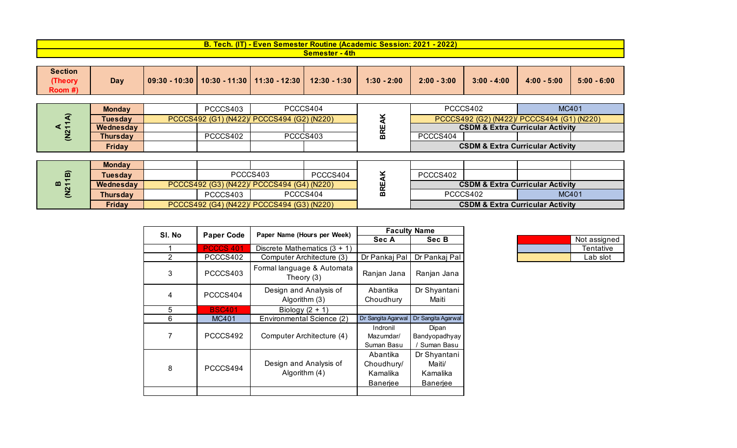| <u>  I - Even Semester Routine (Academic Session: 2021 /</u><br><u>Tech. (IT)</u><br>. | $-2022'$ |
|----------------------------------------------------------------------------------------|----------|
| <u>- 4th </u><br>Semester                                                              |          |

| <b>Section</b> |     |                        |                                                |               |               |               |               |               |
|----------------|-----|------------------------|------------------------------------------------|---------------|---------------|---------------|---------------|---------------|
| (Theory)       | Day | - 10:30  <br>$09:30 -$ | │ 10:30 - 11:30   11:30 - 12:30   12:30 - 1:30 | $1:30 - 2:00$ | $2:00 - 3:00$ | $3:00 - 4:00$ | $4:00 - 5:00$ | $5:00 - 6:00$ |
| Room #)        |     |                        |                                                |               |               |               |               |               |

|   | <b>Mondav</b> | PCCCS403                                   | PCCCS404 |           | MC401<br>PCCCS402                           |  |                                             |  |
|---|---------------|--------------------------------------------|----------|-----------|---------------------------------------------|--|---------------------------------------------|--|
| ⌒ | Tuesdav       | PCCCS492 (G1) (N422)/ PCCCS494 (G2) (N220) |          | ∼         | PCCCS492 (G2) (N422)/ PCCCS494 (G1) (N220)  |  |                                             |  |
|   | Wednesday     |                                            |          | ш         | <b>CSDM &amp; Extra Curricular Activity</b> |  |                                             |  |
|   | Thursdav      | PCCCS402                                   | PCCCS403 | <b>BR</b> | PCCCS404                                    |  |                                             |  |
|   | Friday        |                                            |          |           |                                             |  | <b>CSDM &amp; Extra Curricular Activity</b> |  |

| $\widehat{\mathbf{m}}$ | <b>Monday</b>   |                                            |                                            |          |          |                                             |                                             |  |  |       |
|------------------------|-----------------|--------------------------------------------|--------------------------------------------|----------|----------|---------------------------------------------|---------------------------------------------|--|--|-------|
|                        | Tuesdav         |                                            |                                            | PCCCS403 | PCCCS404 |                                             | PCCCS402                                    |  |  |       |
| $m_{\tau}$             | Wednesday       |                                            | PCCCS492 (G3) (N422)/ PCCCS494 (G4) (N220) |          |          |                                             | <b>CSDM &amp; Extra Curricular Activity</b> |  |  |       |
|                        | <b>Thursday</b> |                                            | PCCCS403                                   |          | PCCCS404 | m                                           | PCCCS402                                    |  |  | MC401 |
|                        | Friday          | PCCCS492 (G4) (N422)/ PCCCS494 (G3) (N220) |                                            |          |          | <b>CSDM &amp; Extra Curricular Activity</b> |                                             |  |  |       |

| SI. No         | <b>Paper Code</b> | Paper Name (Hours per Week)              |                                                | <b>Faculty Name</b>                                   |
|----------------|-------------------|------------------------------------------|------------------------------------------------|-------------------------------------------------------|
|                |                   |                                          | Sec A                                          | Sec B                                                 |
|                | <b>PCCCS 401</b>  | Discrete Mathematics $(3 + 1)$           |                                                |                                                       |
| $\overline{2}$ | PCCCS402          | Computer Architecture (3)                | Dr Pankaj Pal                                  | Dr Pankaj Pal                                         |
| 3              | PCCCS403          | Formal language & Automata<br>Theory (3) | Ranjan Jana                                    | Ranjan Jana                                           |
| 4              | PCCCS404          | Design and Analysis of<br>Algorithm (3)  | Abantika<br>Choudhury                          | Dr Shyantani<br>Maiti                                 |
| 5              | <b>BSC401</b>     | Biology $(2 + 1)$                        |                                                |                                                       |
| 6              | MC401             | Environmental Science (2)                | Dr Sangita Agarwal                             | Dr Sangita Agarwal                                    |
| 7              | PCCCS492          | Computer Architecture (4)                | Indronil<br>Mazumdar/<br>Suman Basu            | Dipan<br>Bandyopadhyay<br>Suman Basu                  |
| 8              | PCCCS494          | Design and Analysis of<br>Algorithm (4)  | Abantika<br>Choudhury/<br>Kamalika<br>Banerjee | Dr Shyantani<br>Maiti/<br>Kamalika<br><b>Banerjee</b> |
|                |                   |                                          |                                                |                                                       |

| .     | --------                   |  |              |
|-------|----------------------------|--|--------------|
| Sec A | Sec B                      |  | Not assigned |
|       |                            |  | Tentative    |
|       | Pankai Pal   Dr Pankai Pal |  | Lab slot     |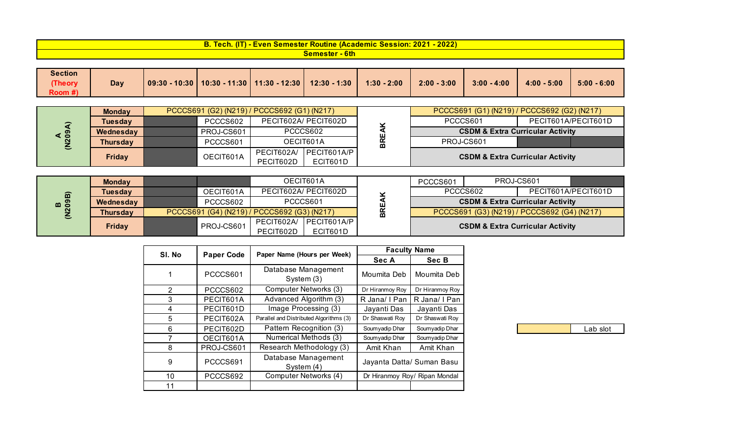| $-2022$<br>2021<br><b>B. Tech.</b><br>7 AT<br>e (Academic Session:<br><u>i - Even Semester Routine i</u> |
|----------------------------------------------------------------------------------------------------------|
| <u>- 6th </u><br><u>semester </u>                                                                        |

| <b>Section</b> |     |                        |                                                     |               |               |               |               |               |
|----------------|-----|------------------------|-----------------------------------------------------|---------------|---------------|---------------|---------------|---------------|
| (Theory)       | Day | $-10:30$ $V$<br>09:30. | $\mid$ 10:30 - 11:30   11:30 - 12:30   12:30 - 1:30 | $1:30 - 2:00$ | $2:00 - 3:00$ | $3:00 - 4:00$ | $4:00 - 5:00$ | $5:00 - 6:00$ |
| Room #)        |     |                        |                                                     |               |               |               |               |               |

|                     | <b>Monday</b> | PCCCS691 (G2) (N219) / PCCCS692 (G1) (N217) |                         |                         |   | PCCCS691 (G1) (N219) / PCCCS692 (G2) (N217) |                                             |  |
|---------------------|---------------|---------------------------------------------|-------------------------|-------------------------|---|---------------------------------------------|---------------------------------------------|--|
| $\hat{\phantom{1}}$ | Tuesdav       | PCCCS602                                    | PECIT602A/ PECIT602D    |                         |   | PCCCS601                                    | PECIT601A/PECIT601D                         |  |
| $4\overline{209}$   | Wednesday     | PROJ-CS601                                  | PCCCS602                |                         | ш | <b>CSDM &amp; Extra Curricular Activity</b> |                                             |  |
|                     | Thursday      | PCCCS601                                    | OECIT601A               |                         | ក | PROJ-CS601                                  |                                             |  |
| ಲ                   | <b>Friday</b> | OECIT601A                                   | PECIT602A/<br>PECIT602D | PECIT601A/P<br>ECIT601D |   |                                             | <b>CSDM &amp; Extra Curricular Activity</b> |  |

|           | <b>Monday</b>   |                                             |                      | OECIT601A                          |                                             | PCCCS601                                    |  | PROJ-CS601                                  |  |  |  |          |  |  |                     |
|-----------|-----------------|---------------------------------------------|----------------------|------------------------------------|---------------------------------------------|---------------------------------------------|--|---------------------------------------------|--|--|--|----------|--|--|---------------------|
|           | Tuesdav         | OECIT601A                                   | PECIT602A/ PECIT602D |                                    |                                             |                                             |  |                                             |  |  |  | PCCCS602 |  |  | PECIT601A/PECIT601D |
| B<br>09B) | Wednesday       | PCCCS602                                    | PCCCS601             |                                    | ш                                           | <b>CSDM &amp; Extra Curricular Activity</b> |  |                                             |  |  |  |          |  |  |                     |
|           | <b>Thursday</b> | PCCCS691 (G4) (N219) / PCCCS692 (G3) (N217) |                      | BRI                                | PCCCS691 (G3) (N219) / PCCCS692 (G4) (N217) |                                             |  |                                             |  |  |  |          |  |  |                     |
|           | Friday          | PROJ-CS601                                  | PECIT602D            | PECIT602A/ PECIT601A/P<br>ECIT601D |                                             |                                             |  | <b>CSDM &amp; Extra Curricular Activity</b> |  |  |  |          |  |  |                     |

| SI. No |                   | Paper Name (Hours per Week)             |                           | <b>Faculty Name</b>           |
|--------|-------------------|-----------------------------------------|---------------------------|-------------------------------|
|        | <b>Paper Code</b> |                                         | Sec A                     | Sec B                         |
| 1      | PCCCS601          | Database Management<br>System (3)       | Moumita Deb               | Moumita Deb                   |
| 2      | PCCCS602          | Computer Networks (3)                   | Dr Hiranmoy Roy           | Dr Hiranmoy Roy               |
| 3      | PECIT601A         | Advanced Algorithm (3)                  | R Jana/ I Pan             | R Jana/ I Pan                 |
| 4      | PECIT601D         | Image Processing (3)                    | Jayanti Das               | Jayanti Das                   |
| 5      | PECIT602A         | Parallel and Distributed Algorithms (3) | Dr Shaswati Roy           | Dr Shaswati Roy               |
| 6      | PECIT602D         | Pattern Recognition (3)                 | Soumyadip Dhar            | Soumyadip Dhar                |
| 7      | OECIT601A         | Numerical Methods (3)                   | Soumyadip Dhar            | Soumyadip Dhar                |
| 8      | PROJ-CS601        | Research Methodology (3)                | Amit Khan                 | Amit Khan                     |
| 9      | PCCCS691          | Database Management<br>System (4)       | Jayanta Datta/ Suman Basu |                               |
| 10     | PCCCS692          | Computer Networks (4)                   |                           | Dr Hiranmoy Roy/ Ripan Mondal |
| 11     |                   |                                         |                           |                               |

| -ah<br>٦t<br>$\overline{\phantom{a}}$ |
|---------------------------------------|